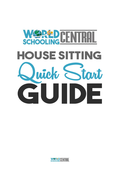

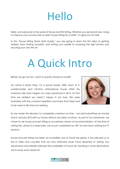## Hello

Hello, and welcome to the world of House and Pet Sitting. Whether you are brand new, trying to improve your success rate or been house sitting for a while, I'm glad you're here.

In this "House Sitting Quick Start Guide," you are going to learn the first steps to getting started. From finding housesits, and writing your profile to choosing the right photos and securing your very first sit!

## A Quick Intro

Before we go too far, I want to quickly introduce myself!

My name is Karen King. I'm a proud Aussie, Wife, Mum of 2, worldschooler and full-time international house sitter! My husband, kids and I began our crazy adventure in 2015. At that time we realized we weren't happy in our lives. We were frustrated with the constant repetition and knew that there had to be more to life than just existing.



So we made the decision to completely overhaul our lives – we sold everything we owned and in January 2016 left our home without any plans to return. As part of our adventure, we chose to use house and pet sitting as our primary means of accommodation. At the time of writing this, almost 2.5 years later, we've just completed our  $30<sup>th</sup>$  sit and have nothing but  $5<sup>*</sup>$ reviews!

House and pet sitting has been an incredible way to travel the globe. It has allowed us to live in cities and countries that we may otherwise never have dreamed of visiting. Our adventures have literally followed the availability of house sits, resulting in some destinations we'd never even heard of!

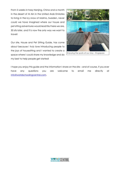From 5 weeks in hazy Nanjing, China and a month in the desert of Al Ain in the United Arab Emirates to living in the icy snow of Malmo, Sweden, never could we have imagined where our house and pet sitting adventures would lead! But here we are, 30 sits later, and it is now the only way we want to travel!

Our site, House and Pet Sitting Guide, has come about because I truly love introducing people to the joys of housesitting and I wanted to create a space where I could share my knowledge and do my best to help people get started!



Enjoying the spoils of our stay - Singapore

I hope you enjoy this guide and the information I share on the site – and of course, if you ever have any questions you are welcome to email me directly at [info@worldschoolingcentral.com.](mailto:info@worldschoolingcentral.com)

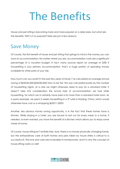## The Benefits

House and pet sitting is becoming more and more popular on a daily basis, but what are the benefits, WHY is it so popular? Here are just a few reasons:

## Save Money

Of course, the first benefit of house and pet sitting that springs to mind is the money you can save on accommodation. No matter where you are, accommodation costs are a significant percentage of a vacation budget. In fact, many sources report an average of 25%! If housesitting is your primary accommodation, that's a huge portion of spending money available for other parts of your trip.

How much can you save? In the past few years of travel, I've calculated an average annual saving of \$USD25,000-\$USD30,000! Now to be fair, this was calculated purely by the number of housesitting nights, at a rate we might otherwise need to pay for a standard hotel. It doesn't take into consideration the actual style of accommodation we had while housesitting, for which we'd certainly have paid a lot more than a standard hotel room. As a quick example, we spent 5 weeks housesitting in a 5\* suite in Nanjing, China, which would otherwise have cost us a whopping \$USD11,000!!!

Another, less obvious money saving opportunity, is in the fact that these homes have a kitchen. While staying in a hotel, you are forced to eat out for every meal. In a home, if needed, or even wanted, you have the benefit of a kitchen which allows you to enjoy some meals at home.

Of course, house sitting isn't entirely free. Sure, there is no money physically changing hands, but the extraordinary care of both homes and pets taken by house sitters is critical to a successful sit. This love and care are invaluable to homeowners, and it is why the concept of house sitting works so well!

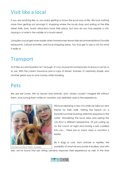## Visit like a local

If you are anything like us, you enjoy getting to know the local way of life. We love nothing more than getting out amongst it, shopping where the locals shop and eating at the little street stalls. Sure, tourist attractions have their place, but how do you truly explore a city, staying in a hotel in the middle of a tourist area?

Living like a local gets even easier when homeowners leave their recommendations! Favorite restaurants, cultural activities, and local shopping areas. You truly get to see a city for what it really is!

### **Transport**

As if free accommodation isn't enough, it's not unusual for homeowners to leave a car for us to use. With the correct insurance and a copy of drivers' licenses, it's relatively simple, and another great way to save money while traveling.

### Pets

We are pet lovers. We've always had animals, and I simply couldn't imagine life without them. And having them while on vacation can definitely add to the experience.



Our first fury friend. Perth, Australia

We love exploring a new city while we take our new friends for their walk. Visiting the beach on a beautiful summer evening while the dog plays in the water. Wandering the local area and seeing the city from a different perspective. Or just curling up on the couch at night and having a pet cuddled into you… there are so many ways a vacation is better.

Be it dogs or cats, farm animals or reptiles, the possibility of what we encounter is endless, and with

kids, we've found that pet sitting certainly improves their experience as well. In the time

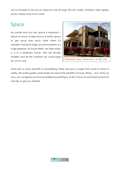we've traveled so far we've cared for over 50 dogs, 30 cats, turtles, chickens, birds, geese, ducks, turkeys and much more!

## Space

No matter who you are, space is important – space to move, to relax and as a family, space to get away from each other when it's needed. Paying for large accommodation is a huge expense. As house sitters, we often enjoy a 3 or 4 bedroom home, with full kitchen facilities and all the comforts we could hope for, at no cost!



There are so many benefits to housesitting. These are just a couple that come to mind. In reality, this entire guide could simply be about the benefits of house sitting… but I think, by now, you've figured out how incredible housesitting is. So let's move on and share some hints and tips to get you started!

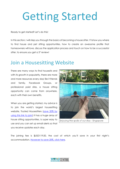# Getting Started

Ready to get started? Let's do this!

In this section, I will step you through the basics of becoming a house sitter. I'll show you where to find house and pet sitting opportunities, how to create an awesome profile that homeowners will love, discuss the application process and touch on how to be a successful sitter, to ensure you get a 5<sup>\*</sup> review!

### Join a Housesitting Website

There are many ways to find housesits and with its growth in popularity, there are more and more resources every day! Be it friends and family, Facebook Groups, or professional paid sites, a house sitting opportunity can come from anywhere, each with their own benefits.

When you are getting started, my advice is to join the world's largest housesitting website, Trusted Housesitters [\(save 20% by](http://www.worldschoolingcentral.com/trusted-house-sitters)  [using this link to join!\)](http://www.worldschoolingcentral.com/trusted-house-sitters) It has a huge array of house sitting opportunities, is super easy to use and you can set up email alerts so that you receive updates each day.



Enjoying the spoils of our stay - Singapore

The joining fee is \$USD119.00, the cost of which you'll save in your first night's accommodation. [However to save 20%, click here.](http://www.worldschoolingcentral.com/trusted-house-sitters)

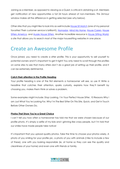Joining as a Member, as opposed to viewing as a Guest, is critical in obtaining a sit. Members get notification of new opportunities a full 24 hours ahead of non-members. This 24-hour window makes all the difference in getting selected (see why below).

Other sites that you might like to look into as well include [House Sit](http://www.worldschoolingcentral.com/housesitmatch) Match (one of my personal favorites! Their customer service is brilliant!), [Nomador,](https://www.nomador.com/) [Mind My Home,](https://www.mindmyhouse.com/) [House Carers,](https://www.housecarers.com/) [House](https://www.housesittersamerica.com/)  [Sitters America,](https://www.housesittersamerica.com/) and [Aussie House Sitters.](https://www.aussiehousesitters.com.au/) Another incredible resource is [House Sitting World,](https://housesittingworld.com/) a site that allows you to search most of the major housesitting websites in one place.

## Create an Awesome Profile

Once joined, you need to create a sitter profile. This is your opportunity to sell yourself to potential owners and it's important to get it right! You only need to scroll through the profiles on some sites to see that many sitters don't do a great job of setting up their profile, and it can be extremely detrimental.

#### **Catch their attention in the Profile Heading**

Your profile heading is one of the first elements a homeowner will see, so use it! Write a headline that catches their attention, sparks curiosity, explains how they'll benefit by choosing you, makes them think or solves a problem.

Some examples might include: Stop Looking, I'm Your Perfect House Sitter, 10 Reasons Why I am Just What You're Looking For, Why I'm The Best Sitter On This Site, Quick, and Get in Touch Before Other Owners Do.

#### **Photos That Show You're a Great Choice**

I can't tell you how often a homeowner has told me that we were chosen because of our profile photo. It's simply a selfie of my kids and I grinning like crazy people, but I'm told that our smiles have made people take notice!

It's important that you upload quality photos. Take the time to choose your photos wisely. A photo of you smiling for your profile pic, a photo of you with animals (I like to include a few of these), one with you looking responsible (ie, at home so they can see the quality and cleanliness of your home) and even one with friends or family.

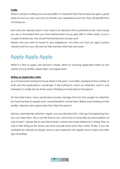#### **Profile**

When it comes to writing your actual profile, it is important that the homeowner gets a good sense of who you are, your love of animals, your experience and how they will benefit from choosing you.

Start with your elevator pitch. If you were in an elevator with a potential owner, what would you say in the limited time you have before either of you gets off? In other words, in just a couple of sentences, why should the homeowner choose you? Explain why you want to house sit, your experience, why they can trust you (get a police check!) and how you will care for their animals while they are away!

## Apply Apply Apply

When it's time to apply, the formula is simple. Write an amazing application letter (a mini version of your profile), apply often, and apply early.

#### **Writing an Application Letter**

As a homeowner looking for house sitters in the past, I was often surprised at the number of short one line applications I would get. It did nothing to catch my attention, and if I was interested, it made me do all the work of finding out more about that person.

On the other hand, many would send a lovely message that not only caught my attention but took the time to explain how I would benefit if I chose them. Before even looking at their profile, I already had a good idea that I liked this person!

Start by catching their attention. Again, use your elevator pitch. Then go into explaining how you can help them. This is not the time to say "we'd love to have free accommodation at your house!" I always like to use their animal's names and make reference to things they've said in their listing as this shows you have actually read what they wrote. Finally, if you are available for interview by Skype, phone call or personal visit, explain that to them and then sign off politely.

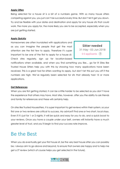#### **Apply Often**

Being selected for a house sit is a bit of a numbers game. With so many house sitters competing against you, you just can't be successful every time. But don't let it get you down. Try and be flexible with your dates and destination and apply for any house sits that could work. The more you apply for, the more likely you are to be accepted, especially when you are just getting started.

#### **Apply Quickly**

Homeowners are often inundated with applications and as you can imagine the people that get the most attention are the first few to apply. Therefore it's super important to be one of the first to apply for a house sit. Check sites regularly, sign up for location-based

Sitter needed 31 May - 03 Jun 2018  $0-3$  applicants  $(?)$ 

notifications when available, and when you find something you like… go for it! Sites like Trusted House Sitters help you with this by showing how many applications have been received. This is a great tool for sitters wanting to apply, but don't let this put you off if the numbers are high. We've regularly been selected for sits that already had 15 or more applications.

#### **Get References**

When you are first getting started, it can be a little harder to be selected as you don't have the experience that others may have. Most sites, however, offer you the ability to ask friends and family for references and these will certainly help.

On sites like Trusted Housesitters, it is super important to get reviews within their system, so your first one or two reviews are critical to success. My advice? Find one or two short, local stays. Even if it's just for 1 or 2 nights. It will be quick and easy for you to do, and a quick boost to your reviews. Once you have a couple under your belt, owners will instantly have a much greater level of trust, and you'll begin to find your success rate improve.

### Be the Best

When you do eventually get your first house sit, be the very best house sitter you can possibly be. I always aim to go above and beyond, to ensure that owners are happy and to help me get a 5\* review (which of course helps you get selected in the future).

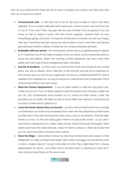How do you achieve this? There are lots of ways to impress your owners, but here are a few that we've found successful:

- **Communicate well** in the lead up to the sit, be sure to keep in touch with them regularly. If you've been selected well in advance, check in every now and then just to say hi. If you don't they may get nervous and wonder if you're going to turn up! Once on the sit, keep in touch with the owners regularly. Update them on how everything is going, and send 1 or 2 photos of their pets so Owners can see how happy they are. If anything does go wrong, be sure to keep in touch with them and always get permission before calling in tradesman etc (unless otherwise advised).
- **Be flexible with your arrival** the homeowner will be very busy getting ready to depart so it's important you fit into their schedule when you arrive. Some owners like sitters to arrive the day before, others the morning of their departure. Ask them what they prefer and then stick to that arrangement (don't be late!)
- Ask lots of questions as they show you around the home and introduce you to their pet/s, you are on display. Show affection to the animals and ask lots of questions so that a) they see you want to do a great job, and b) you understand EXACTLY what is needed. From experience, as long as everyone understands what is expected, the sit will proceed without too many issues.
- **Meet the Owners Requirements**  If you've been asked to walk the dog each day, make sure you do. If you've been asked to water the plants every Monday, make sure you do. The homeowners have trusted you to come into their home, under the promises you've made. We take our job as house sitters very seriously, and always do our best to meet what is asked of us.
- **Leave the home cleaner than you found it** so many times homeowners have actually commented in our review how impressed they were with the cleanliness of their home on their return. They are returning from time away, and as we all know, that first night home is so nice. As the old saying goes "there's no place like home", so you don't want them coming home to a dirty, messy house. Clean the house thoroughly. Wash sheets and have the beds remade, ready for them to sleep in. Wash all towels that you've used, and clean and dust every surface.
- **Stock the fridge** I always like to leave my returning homeowners some basics in their refrigerator to make coming home easier. Milk, butter, and eggs, and sometimes even a home cooked meal (if I've got some idea of what they might like!) This is always appreciated on arrival… just make sure to let them know in advance so they don't stop and purchase these on the way home!